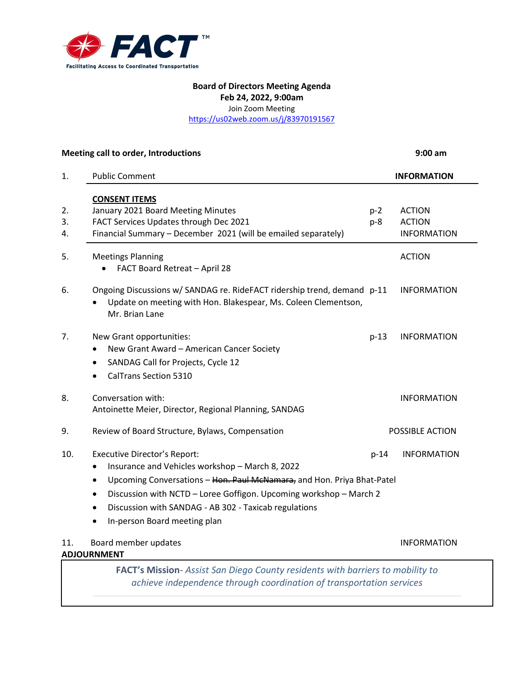

### **Board of Directors Meeting Agenda Feb 24, 2022, 9:00am**

Join Zoom Meeting

<https://us02web.zoom.us/j/83970191567>

### **Meeting call to order, Introductions 9:00 am**

1. Public Comment **INFORMATION CONSENT ITEMS** 2. January 2021 Board Meeting Minutes **point in the COV and ACTION** 3. FACT Services Updates through Dec 2021 https://www.p-8 ACTION 4. Financial Summary – December 2021 (will be emailed separately) Financial Summary – December 2021 (will be emailed separately) 5. Meetings Planning and the control of the control of the control of the control of the control of the control of the control of the control of the control of the control of the control of the control of the control of th • FACT Board Retreat – April 28 6. Ongoing Discussions w/ SANDAG re. RideFACT ridership trend, demand p-11 INFORMATION • Update on meeting with Hon. Blakespear, Ms. Coleen Clementson, Mr. Brian Lane 7. New Grant opportunities: p-13 INFORMATION • New Grant Award – American Cancer Society • SANDAG Call for Projects, Cycle 12 • CalTrans Section 5310 8. Conversation with: INFORMATION Antoinette Meier, Director, Regional Planning, SANDAG 9. Review of Board Structure, Bylaws, Compensation **POSSIBLE ACTION** 10. Executive Director's Report: p-14 INFORMATION • Insurance and Vehicles workshop – March 8, 2022 • Upcoming Conversations – Hon. Paul McNamara, and Hon. Priya Bhat-Patel • Discussion with NCTD – Loree Goffigon. Upcoming workshop – March 2 • Discussion with SANDAG - AB 302 - Taxicab regulations • In-person Board meeting plan 11. Board member updates **INFORMATION ADJOURNMENT FACT's Mission**- *Assist San Diego County residents with barriers to mobility to* 

*achieve independence through coordination of transportation services*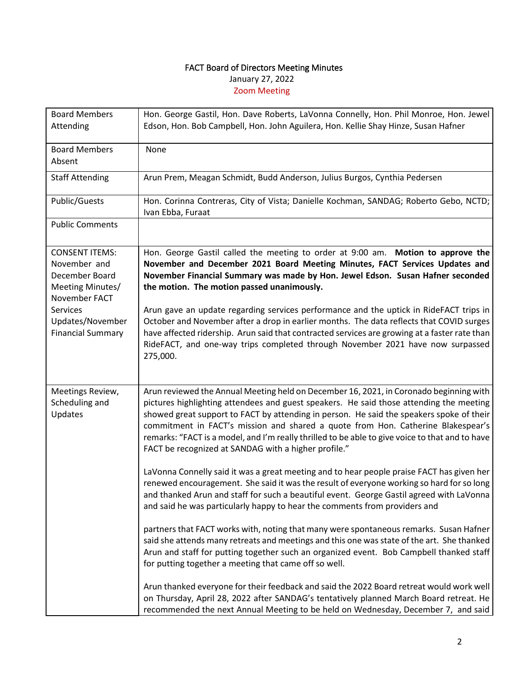# FACT Board of Directors Meeting Minutes January 27, 2022 Zoom Meeting

| <b>Board Members</b><br>Attending                                                            | Hon. George Gastil, Hon. Dave Roberts, LaVonna Connelly, Hon. Phil Monroe, Hon. Jewel<br>Edson, Hon. Bob Campbell, Hon. John Aguilera, Hon. Kellie Shay Hinze, Susan Hafner                                                                                                                                                                                                                                                                                                                                                  |
|----------------------------------------------------------------------------------------------|------------------------------------------------------------------------------------------------------------------------------------------------------------------------------------------------------------------------------------------------------------------------------------------------------------------------------------------------------------------------------------------------------------------------------------------------------------------------------------------------------------------------------|
| <b>Board Members</b><br>Absent                                                               | None                                                                                                                                                                                                                                                                                                                                                                                                                                                                                                                         |
| <b>Staff Attending</b>                                                                       | Arun Prem, Meagan Schmidt, Budd Anderson, Julius Burgos, Cynthia Pedersen                                                                                                                                                                                                                                                                                                                                                                                                                                                    |
| Public/Guests                                                                                | Hon. Corinna Contreras, City of Vista; Danielle Kochman, SANDAG; Roberto Gebo, NCTD;<br>Ivan Ebba, Furaat                                                                                                                                                                                                                                                                                                                                                                                                                    |
| <b>Public Comments</b>                                                                       |                                                                                                                                                                                                                                                                                                                                                                                                                                                                                                                              |
| <b>CONSENT ITEMS:</b><br>November and<br>December Board<br>Meeting Minutes/<br>November FACT | Hon. George Gastil called the meeting to order at 9:00 am. Motion to approve the<br>November and December 2021 Board Meeting Minutes, FACT Services Updates and<br>November Financial Summary was made by Hon. Jewel Edson. Susan Hafner seconded<br>the motion. The motion passed unanimously.                                                                                                                                                                                                                              |
| Services<br>Updates/November<br><b>Financial Summary</b>                                     | Arun gave an update regarding services performance and the uptick in RideFACT trips in<br>October and November after a drop in earlier months. The data reflects that COVID surges<br>have affected ridership. Arun said that contracted services are growing at a faster rate than<br>RideFACT, and one-way trips completed through November 2021 have now surpassed<br>275,000.                                                                                                                                            |
| Meetings Review,<br>Scheduling and<br>Updates                                                | Arun reviewed the Annual Meeting held on December 16, 2021, in Coronado beginning with<br>pictures highlighting attendees and guest speakers. He said those attending the meeting<br>showed great support to FACT by attending in person. He said the speakers spoke of their<br>commitment in FACT's mission and shared a quote from Hon. Catherine Blakespear's<br>remarks: "FACT is a model, and I'm really thrilled to be able to give voice to that and to have<br>FACT be recognized at SANDAG with a higher profile." |
|                                                                                              | LaVonna Connelly said it was a great meeting and to hear people praise FACT has given her<br>renewed encouragement. She said it was the result of everyone working so hard for so long<br>and thanked Arun and staff for such a beautiful event. George Gastil agreed with LaVonna<br>and said he was particularly happy to hear the comments from providers and                                                                                                                                                             |
|                                                                                              | partners that FACT works with, noting that many were spontaneous remarks. Susan Hafner<br>said she attends many retreats and meetings and this one was state of the art. She thanked<br>Arun and staff for putting together such an organized event. Bob Campbell thanked staff<br>for putting together a meeting that came off so well.                                                                                                                                                                                     |
|                                                                                              | Arun thanked everyone for their feedback and said the 2022 Board retreat would work well<br>on Thursday, April 28, 2022 after SANDAG's tentatively planned March Board retreat. He<br>recommended the next Annual Meeting to be held on Wednesday, December 7, and said                                                                                                                                                                                                                                                      |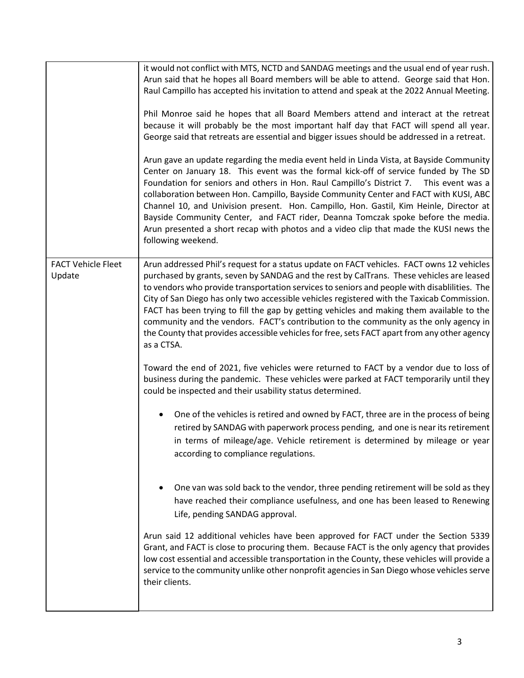|                           | it would not conflict with MTS, NCTD and SANDAG meetings and the usual end of year rush.                                                                                                                                                                                                                                                                                                                                                                                                                                                                                                                                                                           |
|---------------------------|--------------------------------------------------------------------------------------------------------------------------------------------------------------------------------------------------------------------------------------------------------------------------------------------------------------------------------------------------------------------------------------------------------------------------------------------------------------------------------------------------------------------------------------------------------------------------------------------------------------------------------------------------------------------|
|                           | Arun said that he hopes all Board members will be able to attend. George said that Hon.                                                                                                                                                                                                                                                                                                                                                                                                                                                                                                                                                                            |
|                           | Raul Campillo has accepted his invitation to attend and speak at the 2022 Annual Meeting.                                                                                                                                                                                                                                                                                                                                                                                                                                                                                                                                                                          |
|                           |                                                                                                                                                                                                                                                                                                                                                                                                                                                                                                                                                                                                                                                                    |
|                           | Phil Monroe said he hopes that all Board Members attend and interact at the retreat                                                                                                                                                                                                                                                                                                                                                                                                                                                                                                                                                                                |
|                           | because it will probably be the most important half day that FACT will spend all year.                                                                                                                                                                                                                                                                                                                                                                                                                                                                                                                                                                             |
|                           |                                                                                                                                                                                                                                                                                                                                                                                                                                                                                                                                                                                                                                                                    |
|                           | George said that retreats are essential and bigger issues should be addressed in a retreat.                                                                                                                                                                                                                                                                                                                                                                                                                                                                                                                                                                        |
|                           | Arun gave an update regarding the media event held in Linda Vista, at Bayside Community<br>Center on January 18. This event was the formal kick-off of service funded by The SD<br>Foundation for seniors and others in Hon. Raul Campillo's District 7.<br>This event was a<br>collaboration between Hon. Campillo, Bayside Community Center and FACT with KUSI, ABC<br>Channel 10, and Univision present. Hon. Campillo, Hon. Gastil, Kim Heinle, Director at<br>Bayside Community Center, and FACT rider, Deanna Tomczak spoke before the media.<br>Arun presented a short recap with photos and a video clip that made the KUSI news the<br>following weekend. |
| <b>FACT Vehicle Fleet</b> | Arun addressed Phil's request for a status update on FACT vehicles. FACT owns 12 vehicles                                                                                                                                                                                                                                                                                                                                                                                                                                                                                                                                                                          |
| Update                    | purchased by grants, seven by SANDAG and the rest by CalTrans. These vehicles are leased                                                                                                                                                                                                                                                                                                                                                                                                                                                                                                                                                                           |
|                           | to vendors who provide transportation services to seniors and people with disablilities. The                                                                                                                                                                                                                                                                                                                                                                                                                                                                                                                                                                       |
|                           | City of San Diego has only two accessible vehicles registered with the Taxicab Commission.                                                                                                                                                                                                                                                                                                                                                                                                                                                                                                                                                                         |
|                           | FACT has been trying to fill the gap by getting vehicles and making them available to the                                                                                                                                                                                                                                                                                                                                                                                                                                                                                                                                                                          |
|                           | community and the vendors. FACT's contribution to the community as the only agency in                                                                                                                                                                                                                                                                                                                                                                                                                                                                                                                                                                              |
|                           | the County that provides accessible vehicles for free, sets FACT apart from any other agency                                                                                                                                                                                                                                                                                                                                                                                                                                                                                                                                                                       |
|                           | as a CTSA.                                                                                                                                                                                                                                                                                                                                                                                                                                                                                                                                                                                                                                                         |
|                           |                                                                                                                                                                                                                                                                                                                                                                                                                                                                                                                                                                                                                                                                    |
|                           | Toward the end of 2021, five vehicles were returned to FACT by a vendor due to loss of                                                                                                                                                                                                                                                                                                                                                                                                                                                                                                                                                                             |
|                           | business during the pandemic. These vehicles were parked at FACT temporarily until they                                                                                                                                                                                                                                                                                                                                                                                                                                                                                                                                                                            |
|                           | could be inspected and their usability status determined.                                                                                                                                                                                                                                                                                                                                                                                                                                                                                                                                                                                                          |
|                           |                                                                                                                                                                                                                                                                                                                                                                                                                                                                                                                                                                                                                                                                    |
|                           | One of the vehicles is retired and owned by FACT, three are in the process of being                                                                                                                                                                                                                                                                                                                                                                                                                                                                                                                                                                                |
|                           | retired by SANDAG with paperwork process pending, and one is near its retirement                                                                                                                                                                                                                                                                                                                                                                                                                                                                                                                                                                                   |
|                           |                                                                                                                                                                                                                                                                                                                                                                                                                                                                                                                                                                                                                                                                    |
|                           | in terms of mileage/age. Vehicle retirement is determined by mileage or year                                                                                                                                                                                                                                                                                                                                                                                                                                                                                                                                                                                       |
|                           | according to compliance regulations.                                                                                                                                                                                                                                                                                                                                                                                                                                                                                                                                                                                                                               |
|                           |                                                                                                                                                                                                                                                                                                                                                                                                                                                                                                                                                                                                                                                                    |
|                           |                                                                                                                                                                                                                                                                                                                                                                                                                                                                                                                                                                                                                                                                    |
|                           | One van was sold back to the vendor, three pending retirement will be sold as they                                                                                                                                                                                                                                                                                                                                                                                                                                                                                                                                                                                 |
|                           | have reached their compliance usefulness, and one has been leased to Renewing                                                                                                                                                                                                                                                                                                                                                                                                                                                                                                                                                                                      |
|                           | Life, pending SANDAG approval.                                                                                                                                                                                                                                                                                                                                                                                                                                                                                                                                                                                                                                     |
|                           |                                                                                                                                                                                                                                                                                                                                                                                                                                                                                                                                                                                                                                                                    |
|                           | Arun said 12 additional vehicles have been approved for FACT under the Section 5339                                                                                                                                                                                                                                                                                                                                                                                                                                                                                                                                                                                |
|                           | Grant, and FACT is close to procuring them. Because FACT is the only agency that provides                                                                                                                                                                                                                                                                                                                                                                                                                                                                                                                                                                          |
|                           | low cost essential and accessible transportation in the County, these vehicles will provide a                                                                                                                                                                                                                                                                                                                                                                                                                                                                                                                                                                      |
|                           | service to the community unlike other nonprofit agencies in San Diego whose vehicles serve                                                                                                                                                                                                                                                                                                                                                                                                                                                                                                                                                                         |
|                           | their clients.                                                                                                                                                                                                                                                                                                                                                                                                                                                                                                                                                                                                                                                     |
|                           |                                                                                                                                                                                                                                                                                                                                                                                                                                                                                                                                                                                                                                                                    |
|                           |                                                                                                                                                                                                                                                                                                                                                                                                                                                                                                                                                                                                                                                                    |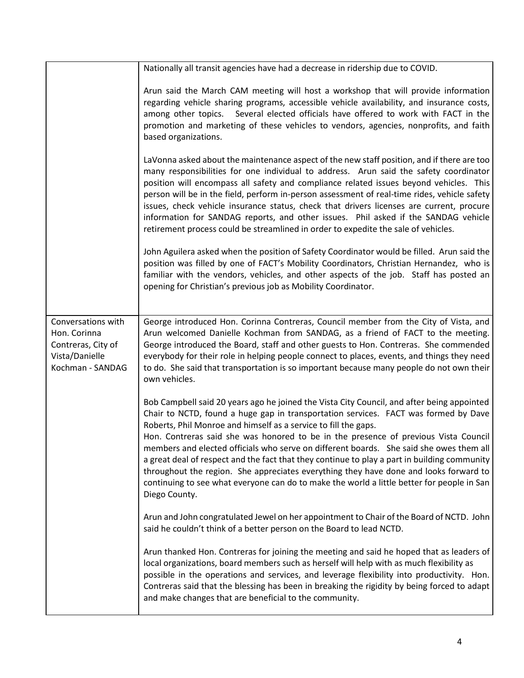|                                                                                                | Nationally all transit agencies have had a decrease in ridership due to COVID.                                                                                                                                                                                                                                                                                                                                                                                                                                                                                                                                                                                                                                                                 |
|------------------------------------------------------------------------------------------------|------------------------------------------------------------------------------------------------------------------------------------------------------------------------------------------------------------------------------------------------------------------------------------------------------------------------------------------------------------------------------------------------------------------------------------------------------------------------------------------------------------------------------------------------------------------------------------------------------------------------------------------------------------------------------------------------------------------------------------------------|
|                                                                                                |                                                                                                                                                                                                                                                                                                                                                                                                                                                                                                                                                                                                                                                                                                                                                |
|                                                                                                | Arun said the March CAM meeting will host a workshop that will provide information<br>regarding vehicle sharing programs, accessible vehicle availability, and insurance costs,<br>Several elected officials have offered to work with FACT in the<br>among other topics.<br>promotion and marketing of these vehicles to vendors, agencies, nonprofits, and faith<br>based organizations.                                                                                                                                                                                                                                                                                                                                                     |
|                                                                                                | LaVonna asked about the maintenance aspect of the new staff position, and if there are too<br>many responsibilities for one individual to address. Arun said the safety coordinator<br>position will encompass all safety and compliance related issues beyond vehicles. This<br>person will be in the field, perform in-person assessment of real-time rides, vehicle safety<br>issues, check vehicle insurance status, check that drivers licenses are current, procure<br>information for SANDAG reports, and other issues. Phil asked if the SANDAG vehicle<br>retirement process could be streamlined in order to expedite the sale of vehicles.                                                                                          |
|                                                                                                | John Aguilera asked when the position of Safety Coordinator would be filled. Arun said the<br>position was filled by one of FACT's Mobility Coordinators, Christian Hernandez, who is<br>familiar with the vendors, vehicles, and other aspects of the job. Staff has posted an<br>opening for Christian's previous job as Mobility Coordinator.                                                                                                                                                                                                                                                                                                                                                                                               |
| Conversations with<br>Hon. Corinna<br>Contreras, City of<br>Vista/Danielle<br>Kochman - SANDAG | George introduced Hon. Corinna Contreras, Council member from the City of Vista, and<br>Arun welcomed Danielle Kochman from SANDAG, as a friend of FACT to the meeting.<br>George introduced the Board, staff and other guests to Hon. Contreras. She commended<br>everybody for their role in helping people connect to places, events, and things they need<br>to do. She said that transportation is so important because many people do not own their<br>own vehicles.                                                                                                                                                                                                                                                                     |
|                                                                                                | Bob Campbell said 20 years ago he joined the Vista City Council, and after being appointed<br>Chair to NCTD, found a huge gap in transportation services. FACT was formed by Dave<br>Roberts, Phil Monroe and himself as a service to fill the gaps.<br>Hon. Contreras said she was honored to be in the presence of previous Vista Council<br>members and elected officials who serve on different boards. She said she owes them all<br>a great deal of respect and the fact that they continue to play a part in building community<br>throughout the region. She appreciates everything they have done and looks forward to<br>continuing to see what everyone can do to make the world a little better for people in San<br>Diego County. |
|                                                                                                | Arun and John congratulated Jewel on her appointment to Chair of the Board of NCTD. John<br>said he couldn't think of a better person on the Board to lead NCTD.                                                                                                                                                                                                                                                                                                                                                                                                                                                                                                                                                                               |
|                                                                                                | Arun thanked Hon. Contreras for joining the meeting and said he hoped that as leaders of<br>local organizations, board members such as herself will help with as much flexibility as<br>possible in the operations and services, and leverage flexibility into productivity. Hon.<br>Contreras said that the blessing has been in breaking the rigidity by being forced to adapt<br>and make changes that are beneficial to the community.                                                                                                                                                                                                                                                                                                     |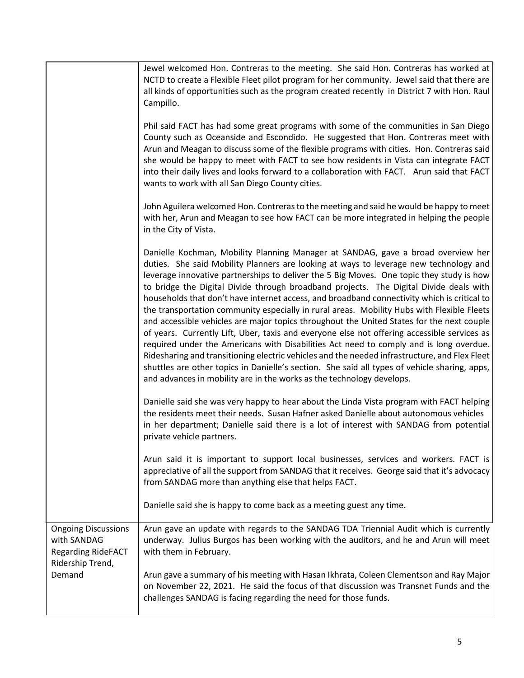|                                                                                            | Jewel welcomed Hon. Contreras to the meeting. She said Hon. Contreras has worked at<br>NCTD to create a Flexible Fleet pilot program for her community. Jewel said that there are<br>all kinds of opportunities such as the program created recently in District 7 with Hon. Raul<br>Campillo.                                                                                                                                                                                                                                                                                                                                                                                                                                                                                                                                                                                                                                                                                                                                                                                                                                |
|--------------------------------------------------------------------------------------------|-------------------------------------------------------------------------------------------------------------------------------------------------------------------------------------------------------------------------------------------------------------------------------------------------------------------------------------------------------------------------------------------------------------------------------------------------------------------------------------------------------------------------------------------------------------------------------------------------------------------------------------------------------------------------------------------------------------------------------------------------------------------------------------------------------------------------------------------------------------------------------------------------------------------------------------------------------------------------------------------------------------------------------------------------------------------------------------------------------------------------------|
|                                                                                            | Phil said FACT has had some great programs with some of the communities in San Diego<br>County such as Oceanside and Escondido. He suggested that Hon. Contreras meet with<br>Arun and Meagan to discuss some of the flexible programs with cities. Hon. Contreras said<br>she would be happy to meet with FACT to see how residents in Vista can integrate FACT<br>into their daily lives and looks forward to a collaboration with FACT. Arun said that FACT<br>wants to work with all San Diego County cities.                                                                                                                                                                                                                                                                                                                                                                                                                                                                                                                                                                                                             |
|                                                                                            | John Aguilera welcomed Hon. Contreras to the meeting and said he would be happy to meet<br>with her, Arun and Meagan to see how FACT can be more integrated in helping the people<br>in the City of Vista.                                                                                                                                                                                                                                                                                                                                                                                                                                                                                                                                                                                                                                                                                                                                                                                                                                                                                                                    |
|                                                                                            | Danielle Kochman, Mobility Planning Manager at SANDAG, gave a broad overview her<br>duties. She said Mobility Planners are looking at ways to leverage new technology and<br>leverage innovative partnerships to deliver the 5 Big Moves. One topic they study is how<br>to bridge the Digital Divide through broadband projects. The Digital Divide deals with<br>households that don't have internet access, and broadband connectivity which is critical to<br>the transportation community especially in rural areas. Mobility Hubs with Flexible Fleets<br>and accessible vehicles are major topics throughout the United States for the next couple<br>of years. Currently Lift, Uber, taxis and everyone else not offering accessible services as<br>required under the Americans with Disabilities Act need to comply and is long overdue.<br>Ridesharing and transitioning electric vehicles and the needed infrastructure, and Flex Fleet<br>shuttles are other topics in Danielle's section. She said all types of vehicle sharing, apps,<br>and advances in mobility are in the works as the technology develops. |
|                                                                                            | Danielle said she was very happy to hear about the Linda Vista program with FACT helping<br>the residents meet their needs. Susan Hafner asked Danielle about autonomous vehicles<br>in her department; Danielle said there is a lot of interest with SANDAG from potential<br>private vehicle partners.                                                                                                                                                                                                                                                                                                                                                                                                                                                                                                                                                                                                                                                                                                                                                                                                                      |
|                                                                                            | Arun said it is important to support local businesses, services and workers. FACT is<br>appreciative of all the support from SANDAG that it receives. George said that it's advocacy<br>from SANDAG more than anything else that helps FACT.                                                                                                                                                                                                                                                                                                                                                                                                                                                                                                                                                                                                                                                                                                                                                                                                                                                                                  |
|                                                                                            | Danielle said she is happy to come back as a meeting guest any time.                                                                                                                                                                                                                                                                                                                                                                                                                                                                                                                                                                                                                                                                                                                                                                                                                                                                                                                                                                                                                                                          |
| <b>Ongoing Discussions</b><br>with SANDAG<br><b>Regarding RideFACT</b><br>Ridership Trend, | Arun gave an update with regards to the SANDAG TDA Triennial Audit which is currently<br>underway. Julius Burgos has been working with the auditors, and he and Arun will meet<br>with them in February.                                                                                                                                                                                                                                                                                                                                                                                                                                                                                                                                                                                                                                                                                                                                                                                                                                                                                                                      |
| Demand                                                                                     | Arun gave a summary of his meeting with Hasan Ikhrata, Coleen Clementson and Ray Major<br>on November 22, 2021. He said the focus of that discussion was Transnet Funds and the<br>challenges SANDAG is facing regarding the need for those funds.                                                                                                                                                                                                                                                                                                                                                                                                                                                                                                                                                                                                                                                                                                                                                                                                                                                                            |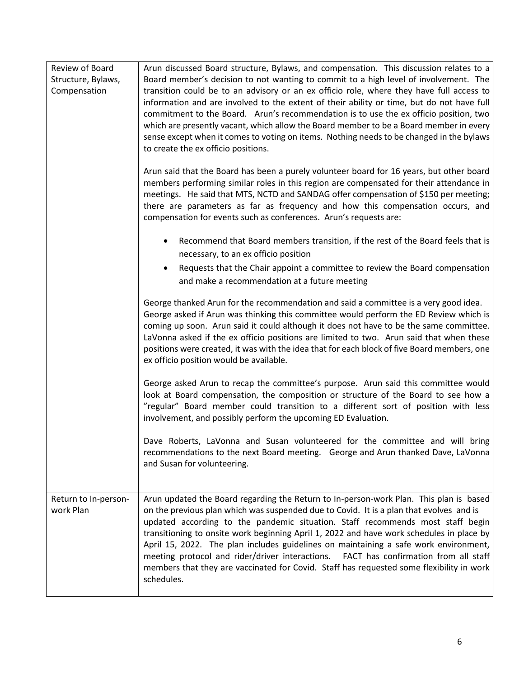| Review of Board<br>Structure, Bylaws,<br>Compensation | Arun discussed Board structure, Bylaws, and compensation. This discussion relates to a<br>Board member's decision to not wanting to commit to a high level of involvement. The<br>transition could be to an advisory or an ex officio role, where they have full access to<br>information and are involved to the extent of their ability or time, but do not have full<br>commitment to the Board. Arun's recommendation is to use the ex officio position, two                                                                                                                                                                                          |
|-------------------------------------------------------|-----------------------------------------------------------------------------------------------------------------------------------------------------------------------------------------------------------------------------------------------------------------------------------------------------------------------------------------------------------------------------------------------------------------------------------------------------------------------------------------------------------------------------------------------------------------------------------------------------------------------------------------------------------|
|                                                       | which are presently vacant, which allow the Board member to be a Board member in every<br>sense except when it comes to voting on items. Nothing needs to be changed in the bylaws<br>to create the ex officio positions.                                                                                                                                                                                                                                                                                                                                                                                                                                 |
|                                                       | Arun said that the Board has been a purely volunteer board for 16 years, but other board<br>members performing similar roles in this region are compensated for their attendance in<br>meetings. He said that MTS, NCTD and SANDAG offer compensation of \$150 per meeting;<br>there are parameters as far as frequency and how this compensation occurs, and<br>compensation for events such as conferences. Arun's requests are:                                                                                                                                                                                                                        |
|                                                       | Recommend that Board members transition, if the rest of the Board feels that is<br>necessary, to an ex officio position                                                                                                                                                                                                                                                                                                                                                                                                                                                                                                                                   |
|                                                       | Requests that the Chair appoint a committee to review the Board compensation<br>and make a recommendation at a future meeting                                                                                                                                                                                                                                                                                                                                                                                                                                                                                                                             |
|                                                       | George thanked Arun for the recommendation and said a committee is a very good idea.<br>George asked if Arun was thinking this committee would perform the ED Review which is<br>coming up soon. Arun said it could although it does not have to be the same committee.<br>LaVonna asked if the ex officio positions are limited to two. Arun said that when these<br>positions were created, it was with the idea that for each block of five Board members, one<br>ex officio position would be available.                                                                                                                                              |
|                                                       | George asked Arun to recap the committee's purpose. Arun said this committee would<br>look at Board compensation, the composition or structure of the Board to see how a<br>"regular" Board member could transition to a different sort of position with less<br>involvement, and possibly perform the upcoming ED Evaluation.                                                                                                                                                                                                                                                                                                                            |
|                                                       | Dave Roberts, LaVonna and Susan volunteered for the committee and will bring<br>recommendations to the next Board meeting. George and Arun thanked Dave, LaVonna<br>and Susan for volunteering.                                                                                                                                                                                                                                                                                                                                                                                                                                                           |
| Return to In-person-<br>work Plan                     | Arun updated the Board regarding the Return to In-person-work Plan. This plan is based<br>on the previous plan which was suspended due to Covid. It is a plan that evolves and is<br>updated according to the pandemic situation. Staff recommends most staff begin<br>transitioning to onsite work beginning April 1, 2022 and have work schedules in place by<br>April 15, 2022. The plan includes guidelines on maintaining a safe work environment,<br>meeting protocol and rider/driver interactions. FACT has confirmation from all staff<br>members that they are vaccinated for Covid. Staff has requested some flexibility in work<br>schedules. |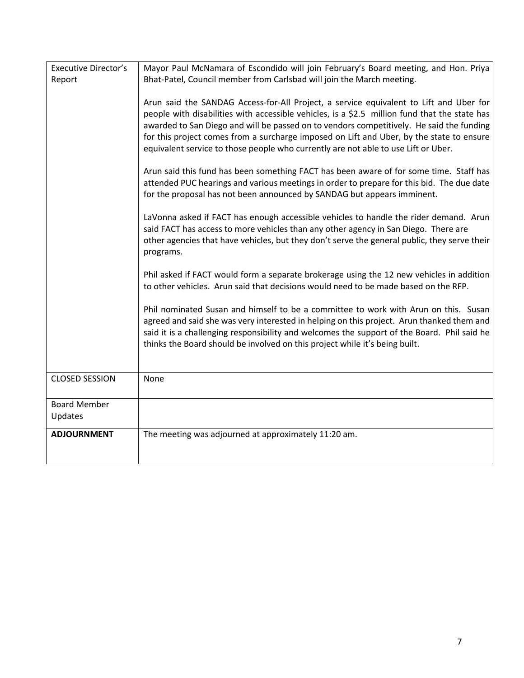| <b>Executive Director's</b> | Mayor Paul McNamara of Escondido will join February's Board meeting, and Hon. Priya           |
|-----------------------------|-----------------------------------------------------------------------------------------------|
| Report                      | Bhat-Patel, Council member from Carlsbad will join the March meeting.                         |
|                             |                                                                                               |
|                             | Arun said the SANDAG Access-for-All Project, a service equivalent to Lift and Uber for        |
|                             | people with disabilities with accessible vehicles, is a \$2.5 million fund that the state has |
|                             | awarded to San Diego and will be passed on to vendors competitively. He said the funding      |
|                             | for this project comes from a surcharge imposed on Lift and Uber, by the state to ensure      |
|                             | equivalent service to those people who currently are not able to use Lift or Uber.            |
|                             |                                                                                               |
|                             | Arun said this fund has been something FACT has been aware of for some time. Staff has        |
|                             | attended PUC hearings and various meetings in order to prepare for this bid. The due date     |
|                             | for the proposal has not been announced by SANDAG but appears imminent.                       |
|                             | LaVonna asked if FACT has enough accessible vehicles to handle the rider demand. Arun         |
|                             | said FACT has access to more vehicles than any other agency in San Diego. There are           |
|                             | other agencies that have vehicles, but they don't serve the general public, they serve their  |
|                             | programs.                                                                                     |
|                             |                                                                                               |
|                             | Phil asked if FACT would form a separate brokerage using the 12 new vehicles in addition      |
|                             | to other vehicles. Arun said that decisions would need to be made based on the RFP.           |
|                             | Phil nominated Susan and himself to be a committee to work with Arun on this. Susan           |
|                             | agreed and said she was very interested in helping on this project. Arun thanked them and     |
|                             | said it is a challenging responsibility and welcomes the support of the Board. Phil said he   |
|                             | thinks the Board should be involved on this project while it's being built.                   |
|                             |                                                                                               |
|                             |                                                                                               |
| <b>CLOSED SESSION</b>       | None                                                                                          |
|                             |                                                                                               |
| <b>Board Member</b>         |                                                                                               |
| Updates                     |                                                                                               |
| <b>ADJOURNMENT</b>          | The meeting was adjourned at approximately 11:20 am.                                          |
|                             |                                                                                               |
|                             |                                                                                               |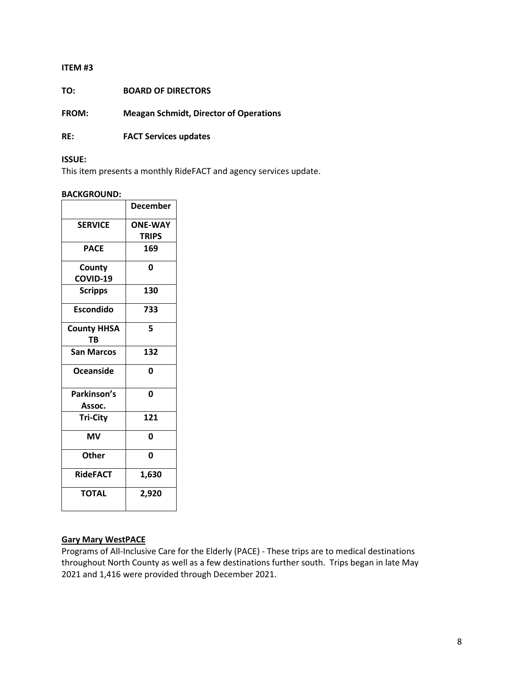### **ITEM #3**

**TO: BOARD OF DIRECTORS**

**FROM: Meagan Schmidt, Director of Operations**

**RE: FACT Services updates** 

### **ISSUE:**

This item presents a monthly RideFACT and agency services update.

#### **BACKGROUND:**

|                    | <b>December</b> |
|--------------------|-----------------|
| <b>SERVICE</b>     | <b>ONE-WAY</b>  |
|                    | <b>TRIPS</b>    |
| <b>PACE</b>        | 169             |
| County             | 0               |
| COVID-19           |                 |
| <b>Scripps</b>     | 130             |
| <b>Escondido</b>   | 733             |
| <b>County HHSA</b> | 5               |
| TB                 |                 |
| <b>San Marcos</b>  | 132             |
| Oceanside          | O               |
| Parkinson's        | 0               |
| Assoc.             |                 |
| <b>Tri-City</b>    | 121             |
| <b>MV</b>          | 0               |
| <b>Other</b>       | 0               |
| <b>RideFACT</b>    | 1,630           |
| <b>TOTAL</b>       | 2,920           |
|                    |                 |

### **Gary Mary WestPACE**

Programs of All-Inclusive Care for the Elderly (PACE) - These trips are to medical destinations throughout North County as well as a few destinations further south. Trips began in late May 2021 and 1,416 were provided through December 2021.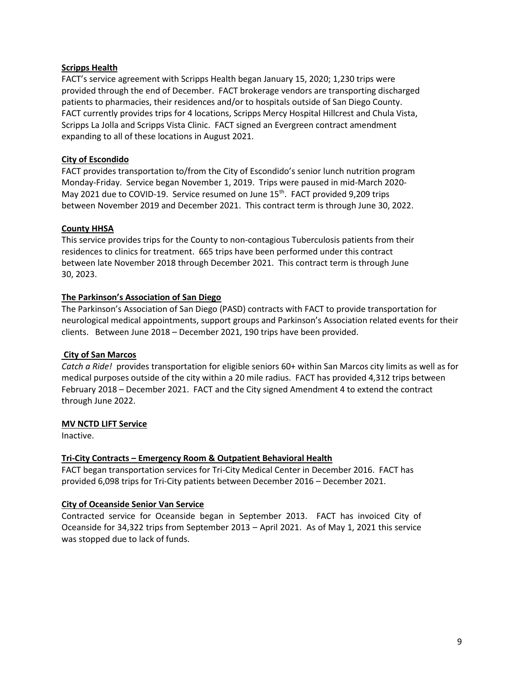### **Scripps Health**

FACT's service agreement with Scripps Health began January 15, 2020; 1,230 trips were provided through the end of December. FACT brokerage vendors are transporting discharged patients to pharmacies, their residences and/or to hospitals outside of San Diego County. FACT currently provides trips for 4 locations, Scripps Mercy Hospital Hillcrest and Chula Vista, Scripps La Jolla and Scripps Vista Clinic. FACT signed an Evergreen contract amendment expanding to all of these locations in August 2021.

### **City of Escondido**

FACT provides transportation to/from the City of Escondido's senior lunch nutrition program Monday-Friday. Service began November 1, 2019. Trips were paused in mid-March 2020- May 2021 due to COVID-19. Service resumed on June 15<sup>th</sup>. FACT provided 9,209 trips between November 2019 and December 2021. This contract term is through June 30, 2022.

### **County HHSA**

This service provides trips for the County to non-contagious Tuberculosis patients from their residences to clinics for treatment. 665 trips have been performed under this contract between late November 2018 through December 2021. This contract term is through June 30, 2023.

### **The Parkinson's Association of San Diego**

The Parkinson's Association of San Diego (PASD) contracts with FACT to provide transportation for neurological medical appointments, support groups and Parkinson's Association related events for their clients. Between June 2018 – December 2021, 190 trips have been provided.

# **City of San Marcos**

*Catch a Ride!* provides transportation for eligible seniors 60+ within San Marcos city limits as well as for medical purposes outside of the city within a 20 mile radius. FACT has provided 4,312 trips between February 2018 – December 2021. FACT and the City signed Amendment 4 to extend the contract through June 2022.

### **MV NCTD LIFT Service**

Inactive.

### **Tri-City Contracts – Emergency Room & Outpatient Behavioral Health**

FACT began transportation services for Tri-City Medical Center in December 2016. FACT has provided 6,098 trips for Tri-City patients between December 2016 – December 2021.

### **City of Oceanside Senior Van Service**

Contracted service for Oceanside began in September 2013. FACT has invoiced City of Oceanside for 34,322 trips from September 2013 – April 2021. As of May 1, 2021 this service was stopped due to lack of funds.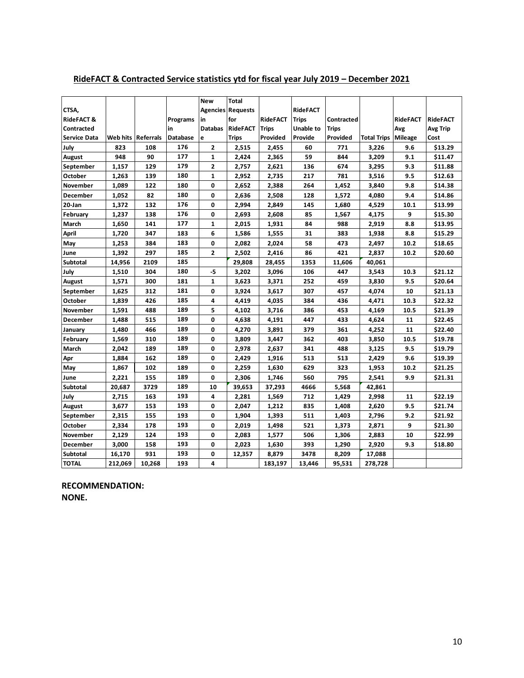|                       |          |           |                 | <b>New</b>     | <b>Total</b>             |                 |                 |              |                    |                 |                 |
|-----------------------|----------|-----------|-----------------|----------------|--------------------------|-----------------|-----------------|--------------|--------------------|-----------------|-----------------|
| CTSA,                 |          |           |                 |                | <b>Agencies Requests</b> |                 | <b>RideFACT</b> |              |                    |                 |                 |
| <b>RideFACT &amp;</b> |          |           | Programs        | in             | for                      | <b>RideFACT</b> | <b>Trips</b>    | Contracted   |                    | <b>RideFACT</b> | <b>RideFACT</b> |
| Contracted            |          |           | in              | <b>Databas</b> | <b>RideFACT</b>          | <b>Trips</b>    | Unable to       | <b>Trips</b> |                    | Avg             | <b>Avg Trip</b> |
| <b>Service Data</b>   | Web hits | Referrals | <b>Database</b> | e              | <b>Trips</b>             | Provided        | Provide         | Provided     | <b>Total Trips</b> | <b>Mileage</b>  | Cost            |
| July                  | 823      | 108       | 176             | 2              | 2,515                    | 2,455           | 60              | 771          | 3,226              | 9.6             | \$13.29         |
| August                | 948      | 90        | 177             | 1              | 2,424                    | 2,365           | 59              | 844          | 3,209              | 9.1             | \$11.47         |
| September             | 1,157    | 129       | 179             | $\overline{2}$ | 2,757                    | 2,621           | 136             | 674          | 3,295              | 9.3             | \$11.88         |
| October               | 1,263    | 139       | 180             | $\mathbf{1}$   | 2,952                    | 2,735           | 217             | 781          | 3,516              | 9.5             | \$12.63         |
| November              | 1,089    | 122       | 180             | 0              | 2,652                    | 2,388           | 264             | 1,452        | 3,840              | 9.8             | \$14.38         |
| December              | 1,052    | 82        | 180             | 0              | 2,636                    | 2,508           | 128             | 1,572        | 4,080              | 9.4             | \$14.86         |
| 20-Jan                | 1,372    | 132       | 176             | 0              | 2,994                    | 2,849           | 145             | 1,680        | 4,529              | 10.1            | \$13.99         |
| February              | 1,237    | 138       | 176             | 0              | 2,693                    | 2,608           | 85              | 1,567        | 4,175              | 9               | \$15.30         |
| March                 | 1,650    | 141       | 177             | $\mathbf{1}$   | 2,015                    | 1,931           | 84              | 988          | 2,919              | 8.8             | \$13.95         |
| <b>April</b>          | 1,720    | 347       | 183             | 6              | 1,586                    | 1,555           | 31              | 383          | 1,938              | 8.8             | \$15.29         |
| May                   | 1,253    | 384       | 183             | 0              | 2,082                    | 2,024           | 58              | 473          | 2,497              | 10.2            | \$18.65         |
| June                  | 1,392    | 297       | 185             | $\overline{2}$ | 2,502                    | 2,416           | 86              | 421          | 2,837              | 10.2            | \$20.60         |
| Subtotal              | 14,956   | 2109      | 185             |                | 29,808                   | 28,455          | 1353            | 11,606       | 40,061             |                 |                 |
| July                  | 1,510    | 304       | 180             | -5             | 3,202                    | 3,096           | 106             | 447          | 3,543              | 10.3            | \$21.12         |
| August                | 1,571    | 300       | 181             | 1              | 3,623                    | 3,371           | 252             | 459          | 3,830              | 9.5             | \$20.64         |
| September             | 1,625    | 312       | 181             | 0              | 3,924                    | 3,617           | 307             | 457          | 4,074              | 10              | \$21.13         |
| October               | 1,839    | 426       | 185             | 4              | 4,419                    | 4,035           | 384             | 436          | 4,471              | 10.3            | \$22.32         |
| November              | 1,591    | 488       | 189             | 5              | 4,102                    | 3,716           | 386             | 453          | 4,169              | 10.5            | \$21.39         |
| December              | 1,488    | 515       | 189             | 0              | 4,638                    | 4,191           | 447             | 433          | 4,624              | 11              | \$22.45         |
| January               | 1,480    | 466       | 189             | 0              | 4,270                    | 3,891           | 379             | 361          | 4,252              | 11              | \$22.40         |
| February              | 1,569    | 310       | 189             | 0              | 3,809                    | 3,447           | 362             | 403          | 3,850              | 10.5            | \$19.78         |
| March                 | 2,042    | 189       | 189             | 0              | 2,978                    | 2,637           | 341             | 488          | 3,125              | 9.5             | \$19.79         |
| Apr                   | 1,884    | 162       | 189             | $\mathbf 0$    | 2,429                    | 1,916           | 513             | 513          | 2,429              | 9.6             | \$19.39         |
| May                   | 1,867    | 102       | 189             | 0              | 2,259                    | 1,630           | 629             | 323          | 1,953              | 10.2            | \$21.25         |
| June                  | 2,221    | 155       | 189             | 0              | 2,306                    | 1,746           | 560             | 795          | 2,541              | 9.9             | \$21.31         |
| <b>Subtotal</b>       | 20,687   | 3729      | 189             | 10             | 39,653                   | 37,293          | 4666            | 5,568        | 42,861             |                 |                 |
| July                  | 2,715    | 163       | 193             | 4              | 2,281                    | 1,569           | 712             | 1,429        | 2,998              | 11              | \$22.19         |
| August                | 3,677    | 153       | 193             | 0              | 2,047                    | 1,212           | 835             | 1,408        | 2,620              | 9.5             | \$21.74         |
| September             | 2,315    | 155       | 193             | 0              | 1,904                    | 1,393           | 511             | 1,403        | 2,796              | 9.2             | \$21.92         |
| October               | 2,334    | 178       | 193             | 0              | 2,019                    | 1,498           | 521             | 1,373        | 2,871              | 9               | \$21.30         |
| November              | 2,129    | 124       | 193             | 0              | 2,083                    | 1,577           | 506             | 1,306        | 2,883              | 10              | \$22.99         |
| December              | 3,000    | 158       | 193             | 0              | 2,023                    | 1,630           | 393             | 1,290        | 2,920              | 9.3             | \$18.80         |
| <b>Subtotal</b>       | 16,170   | 931       | 193             | 0              | 12,357                   | 8,879           | 3478            | 8,209        | 17,088             |                 |                 |
| <b>TOTAL</b>          | 212,069  | 10,268    | 193             | 4              |                          | 183,197         | 13,446          | 95,531       | 278,728            |                 |                 |

# **RideFACT & Contracted Service statistics ytd for fiscal year July 2019 – December 2021**

**RECOMMENDATION: NONE.**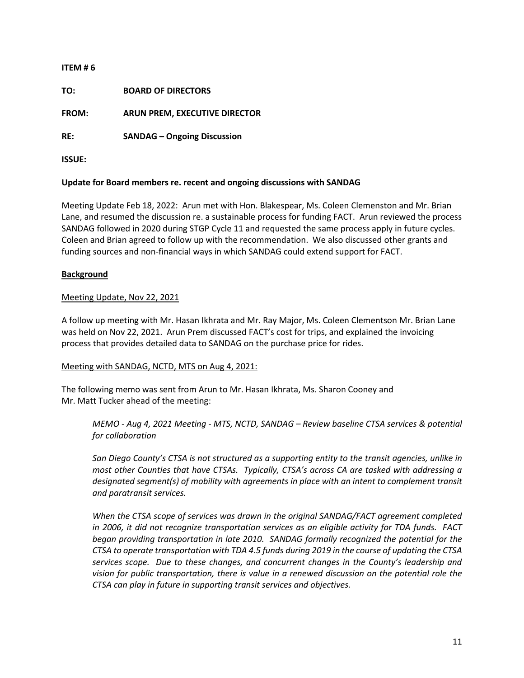# **ITEM # 6 TO: BOARD OF DIRECTORS FROM: ARUN PREM, EXECUTIVE DIRECTOR RE: SANDAG – Ongoing Discussion ISSUE:**

# **Update for Board members re. recent and ongoing discussions with SANDAG**

Meeting Update Feb 18, 2022: Arun met with Hon. Blakespear, Ms. Coleen Clemenston and Mr. Brian Lane, and resumed the discussion re. a sustainable process for funding FACT. Arun reviewed the process SANDAG followed in 2020 during STGP Cycle 11 and requested the same process apply in future cycles. Coleen and Brian agreed to follow up with the recommendation. We also discussed other grants and funding sources and non-financial ways in which SANDAG could extend support for FACT.

# **Background**

# Meeting Update, Nov 22, 2021

A follow up meeting with Mr. Hasan Ikhrata and Mr. Ray Major, Ms. Coleen Clementson Mr. Brian Lane was held on Nov 22, 2021. Arun Prem discussed FACT's cost for trips, and explained the invoicing process that provides detailed data to SANDAG on the purchase price for rides.

### Meeting with SANDAG, NCTD, MTS on Aug 4, 2021:

The following memo was sent from Arun to Mr. Hasan Ikhrata, Ms. Sharon Cooney and Mr. Matt Tucker ahead of the meeting:

*MEMO - Aug 4, 2021 Meeting - MTS, NCTD, SANDAG – Review baseline CTSA services & potential for collaboration* 

*San Diego County's CTSA is not structured as a supporting entity to the transit agencies, unlike in most other Counties that have CTSAs. Typically, CTSA's across CA are tasked with addressing a designated segment(s) of mobility with agreements in place with an intent to complement transit and paratransit services.*

*When the CTSA scope of services was drawn in the original SANDAG/FACT agreement completed in 2006, it did not recognize transportation services as an eligible activity for TDA funds. FACT began providing transportation in late 2010. SANDAG formally recognized the potential for the CTSA to operate transportation with TDA 4.5 funds during 2019 in the course of updating the CTSA services scope. Due to these changes, and concurrent changes in the County's leadership and vision for public transportation, there is value in a renewed discussion on the potential role the CTSA can play in future in supporting transit services and objectives.*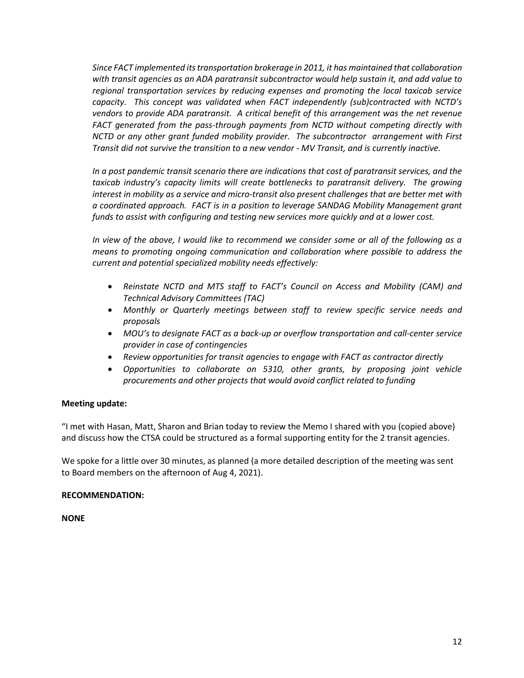*Since FACT implemented its transportation brokerage in 2011, it has maintained that collaboration with transit agencies as an ADA paratransit subcontractor would help sustain it, and add value to regional transportation services by reducing expenses and promoting the local taxicab service capacity. This concept was validated when FACT independently (sub)contracted with NCTD's vendors to provide ADA paratransit. A critical benefit of this arrangement was the net revenue FACT generated from the pass-through payments from NCTD without competing directly with NCTD or any other grant funded mobility provider. The subcontractor arrangement with First Transit did not survive the transition to a new vendor - MV Transit, and is currently inactive.*

*In a post pandemic transit scenario there are indications that cost of paratransit services, and the taxicab industry's capacity limits will create bottlenecks to paratransit delivery. The growing interest in mobility as a service and micro-transit also present challenges that are better met with a coordinated approach. FACT is in a position to leverage SANDAG Mobility Management grant funds to assist with configuring and testing new services more quickly and at a lower cost.*

*In view of the above, I would like to recommend we consider some or all of the following as a means to promoting ongoing communication and collaboration where possible to address the current and potential specialized mobility needs effectively:*

- *Reinstate NCTD and MTS staff to FACT's Council on Access and Mobility (CAM) and Technical Advisory Committees (TAC)*
- *Monthly or Quarterly meetings between staff to review specific service needs and proposals*
- *MOU's to designate FACT as a back-up or overflow transportation and call-center service provider in case of contingencies*
- *Review opportunities for transit agencies to engage with FACT as contractor directly*
- *Opportunities to collaborate on 5310, other grants, by proposing joint vehicle procurements and other projects that would avoid conflict related to funding*

### **Meeting update:**

"I met with Hasan, Matt, Sharon and Brian today to review the Memo I shared with you (copied above) and discuss how the CTSA could be structured as a formal supporting entity for the 2 transit agencies.

We spoke for a little over 30 minutes, as planned (a more detailed description of the meeting was sent to Board members on the afternoon of Aug 4, 2021).

### **RECOMMENDATION:**

**NONE**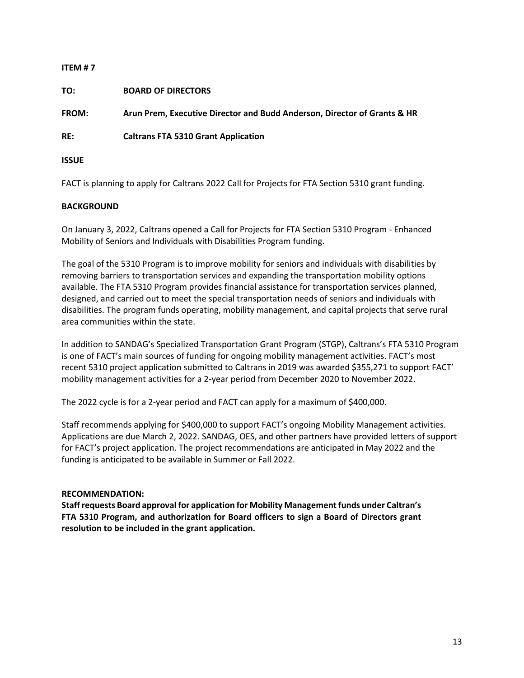| ITEM#7       |                                                                          |
|--------------|--------------------------------------------------------------------------|
| TO:          | <b>BOARD OF DIRECTORS</b>                                                |
| FROM:        | Arun Prem, Executive Director and Budd Anderson, Director of Grants & HR |
| RE:          | <b>Caltrans FTA 5310 Grant Application</b>                               |
| <b>ISSUE</b> |                                                                          |

FACT is planning to apply for Caltrans 2022 Call for Projects for FTA Section 5310 grant funding.

# **BACKGROUND**

On January 3, 2022, Caltrans opened a Call for Projects for FTA Section 5310 Program - Enhanced Mobility of Seniors and Individuals with Disabilities Program funding.

The goal of the 5310 Program is to improve mobility for seniors and individuals with disabilities by removing barriers to transportation services and expanding the transportation mobility options available. The FTA 5310 Program provides financial assistance for transportation services planned, designed, and carried out to meet the special transportation needs of seniors and individuals with disabilities. The program funds operating, mobility management, and capital projects that serve rural area communities within the state.

In addition to SANDAG's Specialized Transportation Grant Program (STGP), Caltrans's FTA 5310 Program is one of FACT's main sources of funding for ongoing mobility management activities. FACT's most recent 5310 project application submitted to Caltrans in 2019 was awarded \$355,271 to support FACT' mobility management activities for a 2-year period from December 2020 to November 2022.

The 2022 cycle is for a 2-year period and FACT can apply for a maximum of \$400,000.

Staff recommends applying for \$400,000 to support FACT's ongoing Mobility Management activities. Applications are due March 2, 2022. SANDAG, OES, and other partners have provided letters of support for FACT's project application. The project recommendations are anticipated in May 2022 and the funding is anticipated to be available in Summer or Fall 2022.

### **RECOMMENDATION:**

**Staff requests Board approval for application for Mobility Management funds under Caltran's FTA 5310 Program, and authorization for Board officers to sign a Board of Directors grant resolution to be included in the grant application.**